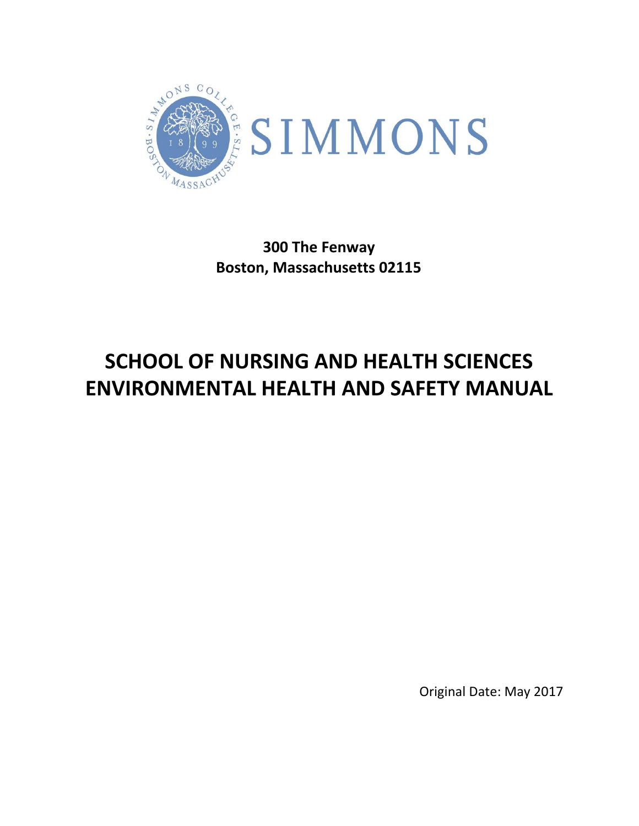

**300 The Fenway Boston, Massachusetts 02115**

# **SCHOOL OF NURSING AND HEALTH SCIENCES ENVIRONMENTAL HEALTH AND SAFETY MANUAL**

Original Date: May 2017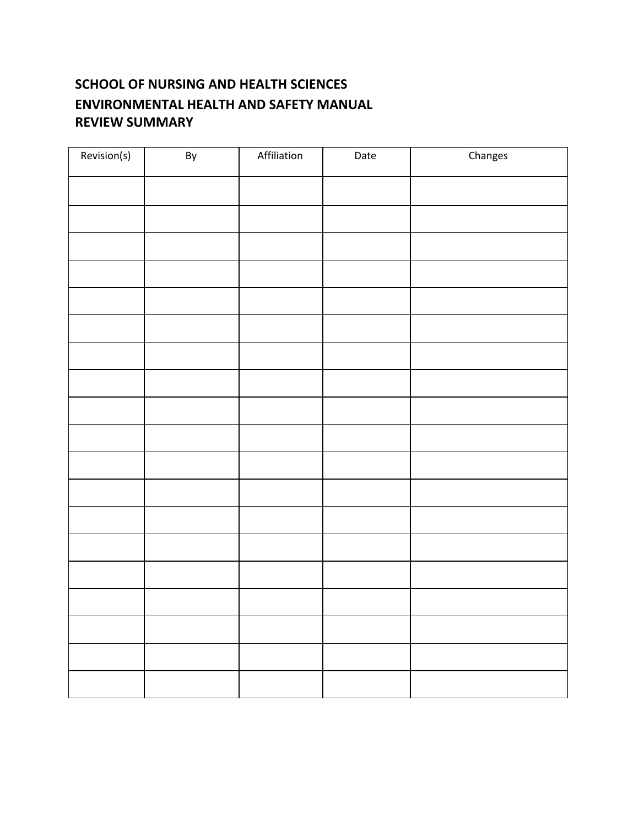# **SCHOOL OF NURSING AND HEALTH SCIENCES ENVIRONMENTAL HEALTH AND SAFETY MANUAL REVIEW SUMMARY**

| Revision(s) | By | Affiliation | Date | Changes |
|-------------|----|-------------|------|---------|
|             |    |             |      |         |
|             |    |             |      |         |
|             |    |             |      |         |
|             |    |             |      |         |
|             |    |             |      |         |
|             |    |             |      |         |
|             |    |             |      |         |
|             |    |             |      |         |
|             |    |             |      |         |
|             |    |             |      |         |
|             |    |             |      |         |
|             |    |             |      |         |
|             |    |             |      |         |
|             |    |             |      |         |
|             |    |             |      |         |
|             |    |             |      |         |
|             |    |             |      |         |
|             |    |             |      |         |
|             |    |             |      |         |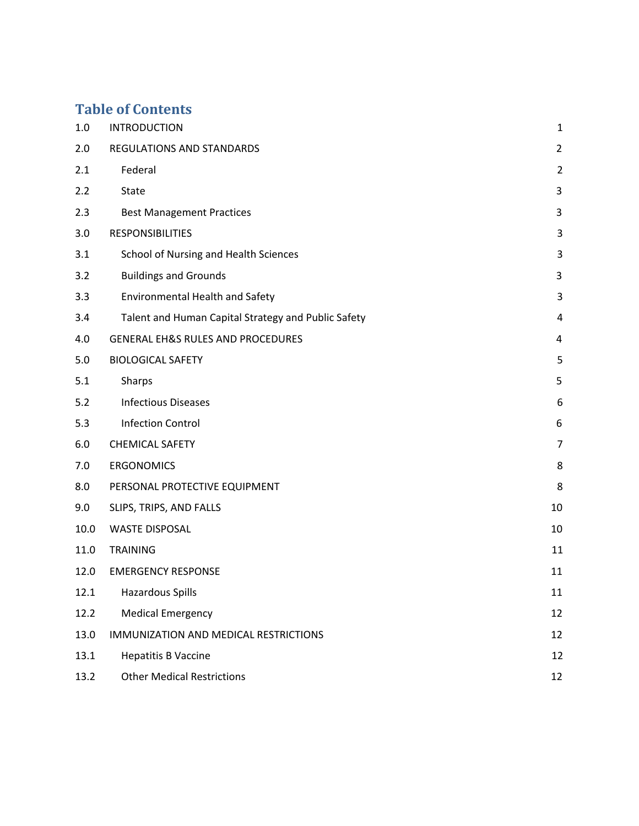# **Table of Contents**

| 1.0  | <b>INTRODUCTION</b>                                 | $\mathbf 1$    |
|------|-----------------------------------------------------|----------------|
| 2.0  | REGULATIONS AND STANDARDS                           | $\overline{2}$ |
| 2.1  | Federal                                             | $\overline{2}$ |
| 2.2  | State                                               | $\mathbf{3}$   |
| 2.3  | <b>Best Management Practices</b>                    | 3              |
| 3.0  | <b>RESPONSIBILITIES</b>                             | 3              |
| 3.1  | School of Nursing and Health Sciences               | 3              |
| 3.2  | <b>Buildings and Grounds</b>                        | $\mathbf{3}$   |
| 3.3  | Environmental Health and Safety                     | 3              |
| 3.4  | Talent and Human Capital Strategy and Public Safety | 4              |
| 4.0  | <b>GENERAL EH&amp;S RULES AND PROCEDURES</b>        | 4              |
| 5.0  | <b>BIOLOGICAL SAFETY</b>                            | 5              |
| 5.1  | Sharps                                              | 5              |
| 5.2  | <b>Infectious Diseases</b>                          | 6              |
| 5.3  | <b>Infection Control</b>                            | 6              |
| 6.0  | <b>CHEMICAL SAFETY</b>                              | $\overline{7}$ |
| 7.0  | <b>ERGONOMICS</b>                                   | 8              |
| 8.0  | PERSONAL PROTECTIVE EQUIPMENT                       | 8              |
| 9.0  | SLIPS, TRIPS, AND FALLS                             | 10             |
| 10.0 | <b>WASTE DISPOSAL</b>                               | 10             |
| 11.0 | <b>TRAINING</b>                                     | 11             |
| 12.0 | <b>EMERGENCY RESPONSE</b>                           | 11             |
| 12.1 | <b>Hazardous Spills</b>                             | 11             |
| 12.2 | <b>Medical Emergency</b>                            | 12             |
| 13.0 | IMMUNIZATION AND MEDICAL RESTRICTIONS               | 12             |
| 13.1 | <b>Hepatitis B Vaccine</b>                          | 12             |
| 13.2 | <b>Other Medical Restrictions</b>                   | 12             |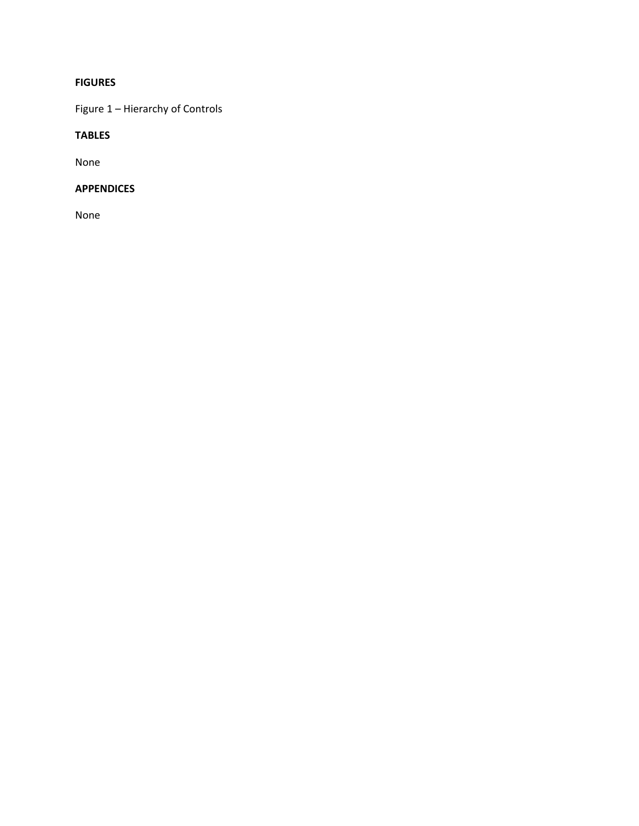### **FIGURES**

Figure 1 – Hierarchy of Controls

#### **TABLES**

None

#### **APPENDICES**

None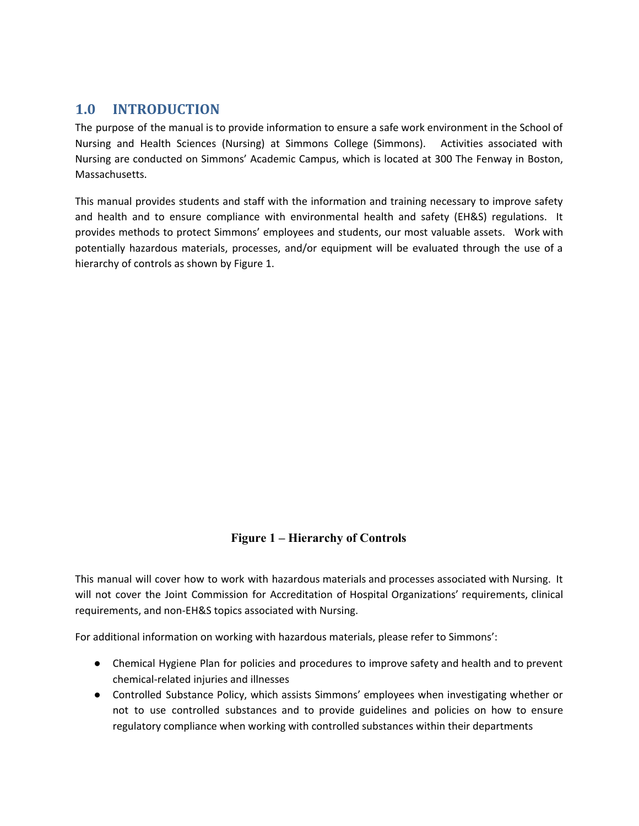## <span id="page-6-0"></span>**1.0 INTRODUCTION**

The purpose of the manual is to provide information to ensure a safe work environment in the School of Nursing and Health Sciences (Nursing) at Simmons College (Simmons). Activities associated with Nursing are conducted on Simmons' Academic Campus, which is located at 300 The Fenway in Boston, Massachusetts.

This manual provides students and staff with the information and training necessary to improve safety and health and to ensure compliance with environmental health and safety (EH&S) regulations. It provides methods to protect Simmons' employees and students, our most valuable assets. Work with potentially hazardous materials, processes, and/or equipment will be evaluated through the use of a hierarchy of controls as shown by Figure 1.

### **Figure 1 – Hierarchy of Controls**

This manual will cover how to work with hazardous materials and processes associated with Nursing. It will not cover the Joint Commission for Accreditation of Hospital Organizations' requirements, clinical requirements, and non-EH&S topics associated with Nursing.

For additional information on working with hazardous materials, please refer to Simmons':

- Chemical Hygiene Plan for policies and procedures to improve safety and health and to prevent chemical-related injuries and illnesses
- Controlled Substance Policy, which assists Simmons' employees when investigating whether or not to use controlled substances and to provide guidelines and policies on how to ensure regulatory compliance when working with controlled substances within their departments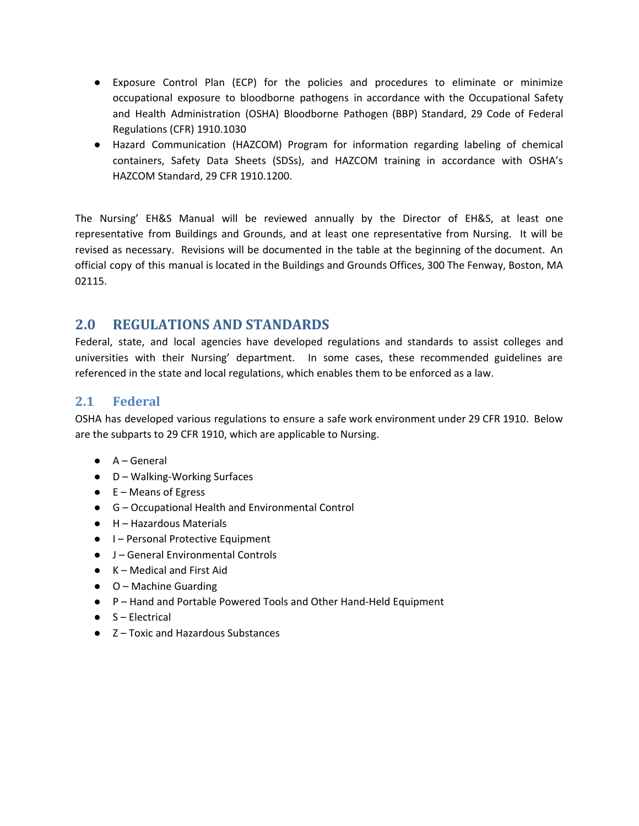- Exposure Control Plan (ECP) for the policies and procedures to eliminate or minimize occupational exposure to bloodborne pathogens in accordance with the Occupational Safety and Health Administration (OSHA) Bloodborne Pathogen (BBP) Standard, 29 Code of Federal Regulations (CFR) 1910.1030
- Hazard Communication (HAZCOM) Program for information regarding labeling of chemical containers, Safety Data Sheets (SDSs), and HAZCOM training in accordance with OSHA's HAZCOM Standard, 29 CFR 1910.1200.

The Nursing' EH&S Manual will be reviewed annually by the Director of EH&S, at least one representative from Buildings and Grounds, and at least one representative from Nursing. It will be revised as necessary. Revisions will be documented in the table at the beginning of the document. An official copy of this manual is located in the Buildings and Grounds Offices, 300 The Fenway, Boston, MA 02115.

### <span id="page-7-0"></span>**2.0 REGULATIONS AND STANDARDS**

Federal, state, and local agencies have developed regulations and standards to assist colleges and universities with their Nursing' department. In some cases, these recommended guidelines are referenced in the state and local regulations, which enables them to be enforced as a law.

### <span id="page-7-1"></span>**2.1 Federal**

OSHA has developed various regulations to ensure a safe work environment under 29 CFR 1910. Below are the subparts to 29 CFR 1910, which are applicable to Nursing.

- $\bullet$  A General
- D Walking-Working Surfaces
- $\bullet$  E Means of Egress
- G Occupational Health and Environmental Control
- H Hazardous Materials
- I Personal Protective Equipment
- J General Environmental Controls
- $\bullet$  K Medical and First Aid
- O Machine Guarding
- P Hand and Portable Powered Tools and Other Hand-Held Equipment
- $\bullet$  S Flectrical
- **Z** Toxic and Hazardous Substances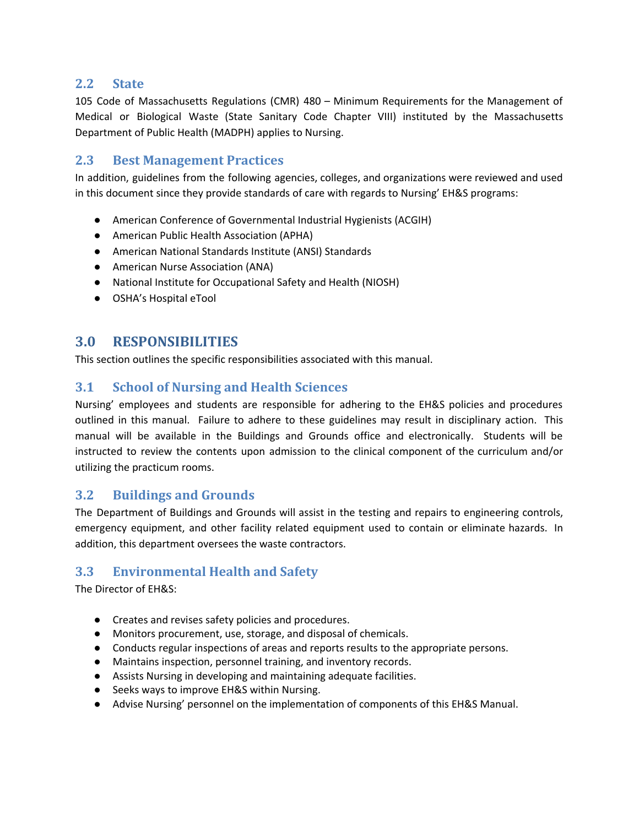#### <span id="page-8-0"></span>**2.2 State**

105 Code of Massachusetts Regulations (CMR) 480 – Minimum Requirements for the Management of Medical or Biological Waste (State Sanitary Code Chapter VIII) instituted by the Massachusetts Department of Public Health (MADPH) applies to Nursing.

### <span id="page-8-1"></span>**2.3 Best Management Practices**

In addition, guidelines from the following agencies, colleges, and organizations were reviewed and used in this document since they provide standards of care with regards to Nursing' EH&S programs:

- American Conference of Governmental Industrial Hygienists (ACGIH)
- American Public Health Association (APHA)
- American National Standards Institute (ANSI) Standards
- American Nurse Association (ANA)
- National Institute for Occupational Safety and Health (NIOSH)
- OSHA's Hospital eTool

### <span id="page-8-2"></span>**3.0 RESPONSIBILITIES**

This section outlines the specific responsibilities associated with this manual.

### <span id="page-8-3"></span>**3.1 School of Nursing and Health Sciences**

Nursing' employees and students are responsible for adhering to the EH&S policies and procedures outlined in this manual. Failure to adhere to these guidelines may result in disciplinary action. This manual will be available in the Buildings and Grounds office and electronically. Students will be instructed to review the contents upon admission to the clinical component of the curriculum and/or utilizing the practicum rooms.

### <span id="page-8-4"></span>**3.2 Buildings and Grounds**

The Department of Buildings and Grounds will assist in the testing and repairs to engineering controls, emergency equipment, and other facility related equipment used to contain or eliminate hazards. In addition, this department oversees the waste contractors.

### <span id="page-8-5"></span>**3.3 Environmental Health and Safety**

The Director of EH&S:

- Creates and revises safety policies and procedures.
- Monitors procurement, use, storage, and disposal of chemicals.
- Conducts regular inspections of areas and reports results to the appropriate persons.
- Maintains inspection, personnel training, and inventory records.
- Assists Nursing in developing and maintaining adequate facilities.
- Seeks ways to improve EH&S within Nursing.
- Advise Nursing' personnel on the implementation of components of this EH&S Manual.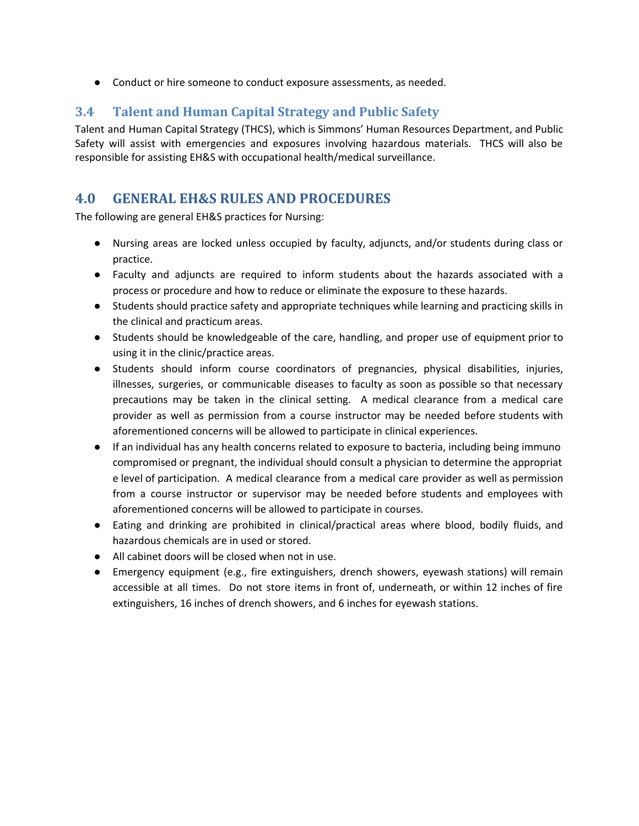● Conduct or hire someone to conduct exposure assessments, as needed.

### <span id="page-9-0"></span>**3.4 Talent and Human Capital Strategy and Public Safety**

Talent and Human Capital Strategy (THCS), which is Simmons' Human Resources Department, and Public Safety will assist with emergencies and exposures involving hazardous materials. THCS will also be responsible for assisting EH&S with occupational health/medical surveillance.

### <span id="page-9-1"></span>**4.0 GENERAL EH&S RULES AND PROCEDURES**

The following are general EH&S practices for Nursing:

- Nursing areas are locked unless occupied by faculty, adjuncts, and/or students during class or practice.
- Faculty and adjuncts are required to inform students about the hazards associated with a process or procedure and how to reduce or eliminate the exposure to these hazards.
- Students should practice safety and appropriate techniques while learning and practicing skills in the clinical and practicum areas.
- Students should be knowledgeable of the care, handling, and proper use of equipment prior to using it in the clinic/practice areas.
- Students should inform course coordinators of pregnancies, physical disabilities, injuries, illnesses, surgeries, or communicable diseases to faculty as soon as possible so that necessary precautions may be taken in the clinical setting. A medical clearance from a medical care provider as well as permission from a course instructor may be needed before students with aforementioned concerns will be allowed to participate in clinical experiences.
- If an individual has any health concerns related to exposure to bacteria, including being immuno compromised or pregnant, the individual should consult a physician to determine the appropriat e level of participation. A medical clearance from a medical care provider as well as permission from a course instructor or supervisor may be needed before students and employees with aforementioned concerns will be allowed to participate in courses.
- Eating and drinking are prohibited in clinical/practical areas where blood, bodily fluids, and hazardous chemicals are in used or stored.
- All cabinet doors will be closed when not in use.
- Emergency equipment (e.g., fire extinguishers, drench showers, eyewash stations) will remain accessible at all times. Do not store items in front of, underneath, or within 12 inches of fire extinguishers, 16 inches of drench showers, and 6 inches for eyewash stations.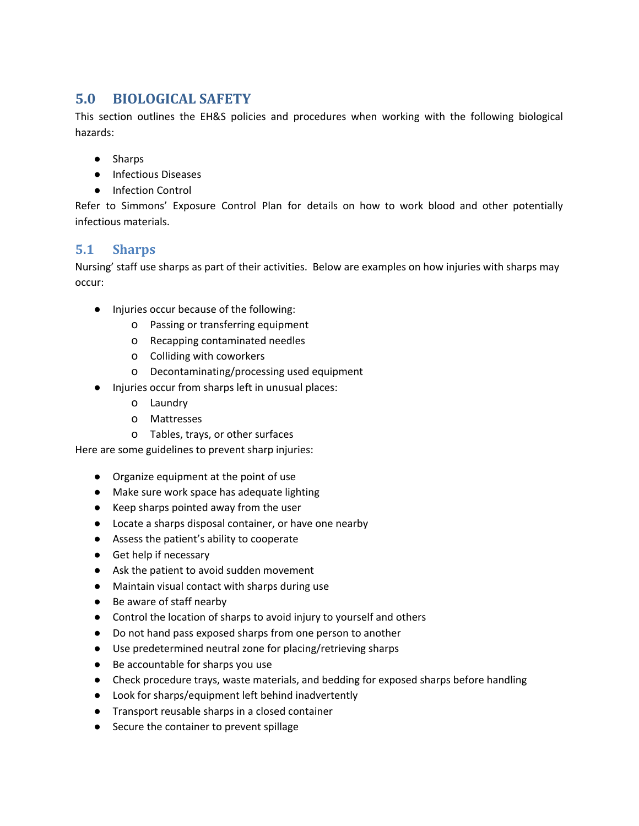# <span id="page-10-0"></span>**5.0 BIOLOGICAL SAFETY**

This section outlines the EH&S policies and procedures when working with the following biological hazards:

- Sharps
- Infectious Diseases
- Infection Control

Refer to Simmons' Exposure Control Plan for details on how to work blood and other potentially infectious materials.

### <span id="page-10-1"></span>**5.1 Sharps**

Nursing' staff use sharps as part of their activities. Below are examples on how injuries with sharps may occur:

- Injuries occur because of the following:
	- o Passing or transferring equipment
	- o Recapping contaminated needles
	- o Colliding with coworkers
	- o Decontaminating/processing used equipment
- Injuries occur from sharps left in unusual places:
	- o Laundry
	- o Mattresses
	- o Tables, trays, or other surfaces

Here are some guidelines to prevent sharp injuries:

- Organize equipment at the point of use
- Make sure work space has adequate lighting
- Keep sharps pointed away from the user
- Locate a sharps disposal container, or have one nearby
- Assess the patient's ability to cooperate
- Get help if necessary
- Ask the patient to avoid sudden movement
- Maintain visual contact with sharps during use
- Be aware of staff nearby
- Control the location of sharps to avoid injury to yourself and others
- Do not hand pass exposed sharps from one person to another
- Use predetermined neutral zone for placing/retrieving sharps
- Be accountable for sharps you use
- Check procedure trays, waste materials, and bedding for exposed sharps before handling
- Look for sharps/equipment left behind inadvertently
- Transport reusable sharps in a closed container
- Secure the container to prevent spillage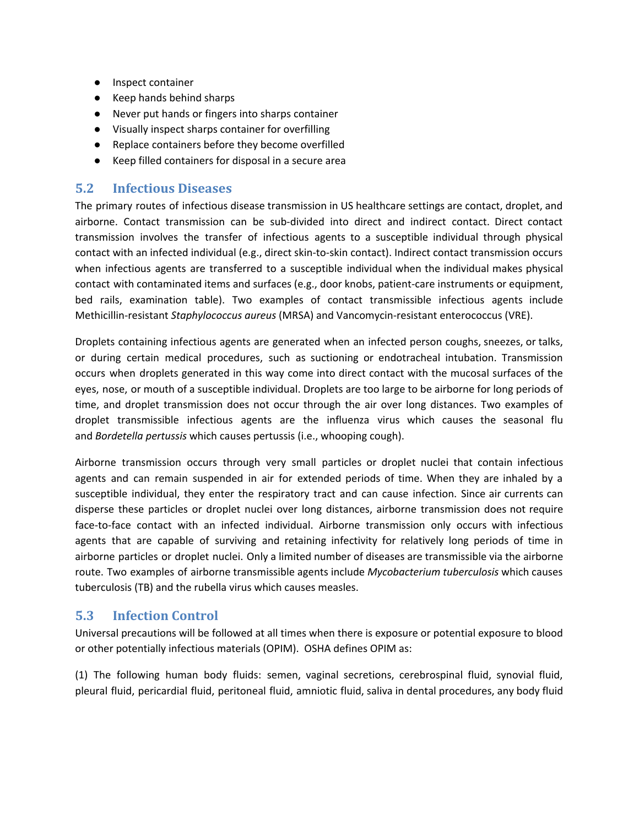- Inspect container
- Keep hands behind sharps
- Never put hands or fingers into sharps container
- Visually inspect sharps container for overfilling
- Replace containers before they become overfilled
- Keep filled containers for disposal in a secure area

#### <span id="page-11-0"></span>**5.2 Infectious Diseases**

The primary routes of infectious disease transmission in US healthcare settings are contact, droplet, and airborne. Contact transmission can be sub-divided into direct and indirect contact. Direct contact transmission involves the transfer of infectious agents to a susceptible individual through physical contact with an infected individual (e.g., direct skin-to-skin contact). Indirect contact transmission occurs when infectious agents are transferred to a susceptible individual when the individual makes physical contact with contaminated items and surfaces (e.g., door knobs, patient-care instruments or equipment, bed rails, examination table). Two examples of contact transmissible infectious agents include Methicillin-resistant *Staphylococcus aureus* (MRSA) and Vancomycin-resistant enterococcus (VRE).

Droplets containing infectious agents are generated when an infected person coughs, sneezes, or talks, or during certain medical procedures, such as suctioning or endotracheal intubation. Transmission occurs when droplets generated in this way come into direct contact with the mucosal surfaces of the eyes, nose, or mouth of a susceptible individual. Droplets are too large to be airborne for long periods of time, and droplet transmission does not occur through the air over long distances. Two examples of droplet transmissible infectious agents are the influenza virus which causes the seasonal flu and *Bordetella pertussis* which causes pertussis (i.e., whooping cough).

Airborne transmission occurs through very small particles or droplet nuclei that contain infectious agents and can remain suspended in air for extended periods of time. When they are inhaled by a susceptible individual, they enter the respiratory tract and can cause infection. Since air currents can disperse these particles or droplet nuclei over long distances, airborne transmission does not require face-to-face contact with an infected individual. Airborne transmission only occurs with infectious agents that are capable of surviving and retaining infectivity for relatively long periods of time in airborne particles or droplet nuclei. Only a limited number of diseases are transmissible via the airborne route. Two examples of airborne transmissible agents include *Mycobacterium tuberculosis* which causes tuberculosis (TB) and the rubella virus which causes measles.

#### <span id="page-11-1"></span>**5.3 Infection Control**

Universal precautions will be followed at all times when there is exposure or potential exposure to blood or other potentially infectious materials (OPIM). OSHA defines OPIM as:

(1) The following human body fluids: semen, vaginal secretions, cerebrospinal fluid, synovial fluid, pleural fluid, pericardial fluid, peritoneal fluid, amniotic fluid, saliva in dental procedures, any body fluid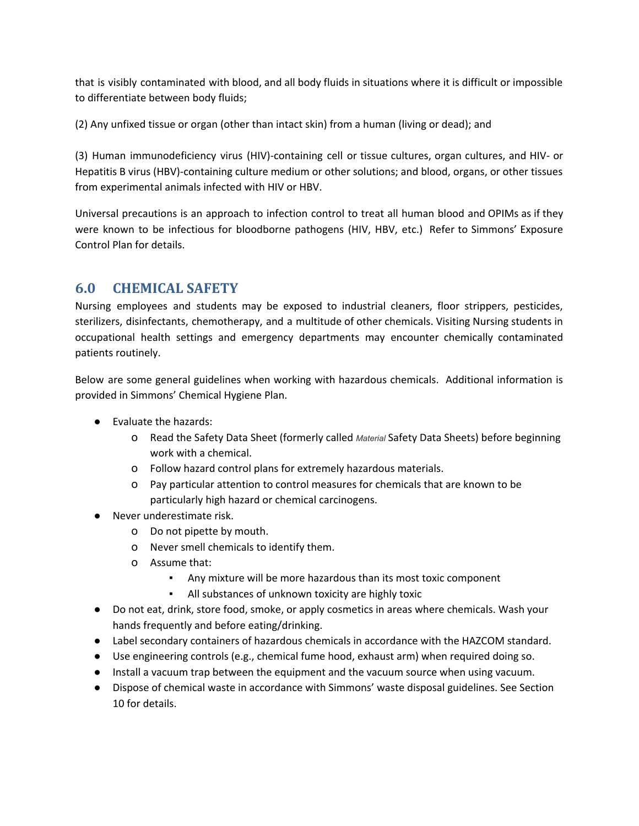that is visibly contaminated with blood, and all body fluids in situations where it is difficult or impossible to differentiate between body fluids;

(2) Any unfixed tissue or organ (other than intact skin) from a human (living or dead); and

(3) Human immunodeficiency virus (HIV)-containing cell or tissue cultures, organ cultures, and HIV- or Hepatitis B virus (HBV)-containing culture medium or other solutions; and blood, organs, or other tissues from experimental animals infected with HIV or HBV.

Universal precautions is an approach to infection control to treat all human blood and OPIMs as if they were known to be infectious for bloodborne pathogens (HIV, HBV, etc.) Refer to Simmons' Exposure Control Plan for details.

## <span id="page-12-0"></span>**6.0 CHEMICAL SAFETY**

Nursing employees and students may be exposed to industrial cleaners, floor strippers, pesticides, sterilizers, disinfectants, chemotherapy, and a multitude of other chemicals. Visiting Nursing students in occupational health settings and emergency departments may encounter chemically contaminated patients routinely.

Below are some general guidelines when working with hazardous chemicals. Additional information is provided in Simmons' Chemical Hygiene Plan.

- Evaluate the hazards:
	- o Read the Safety Data Sheet (formerly called *Material* Safety Data Sheets) before beginning work with a chemical.
	- o Follow hazard control plans for extremely hazardous materials.
	- o Pay particular attention to control measures for chemicals that are known to be particularly high hazard or chemical carcinogens.
- Never underestimate risk.
	- o Do not pipette by mouth.
	- o Never smell chemicals to identify them.
	- o Assume that:
		- Any mixture will be more hazardous than its most toxic component
		- All substances of unknown toxicity are highly toxic
- Do not eat, drink, store food, smoke, or apply cosmetics in areas where chemicals. Wash your hands frequently and before eating/drinking.
- Label secondary containers of hazardous chemicals in accordance with the HAZCOM standard.
- Use engineering controls (e.g., chemical fume hood, exhaust arm) when required doing so.
- Install a vacuum trap between the equipment and the vacuum source when using vacuum.
- Dispose of chemical waste in accordance with Simmons' waste disposal guidelines. See Section 10 for details.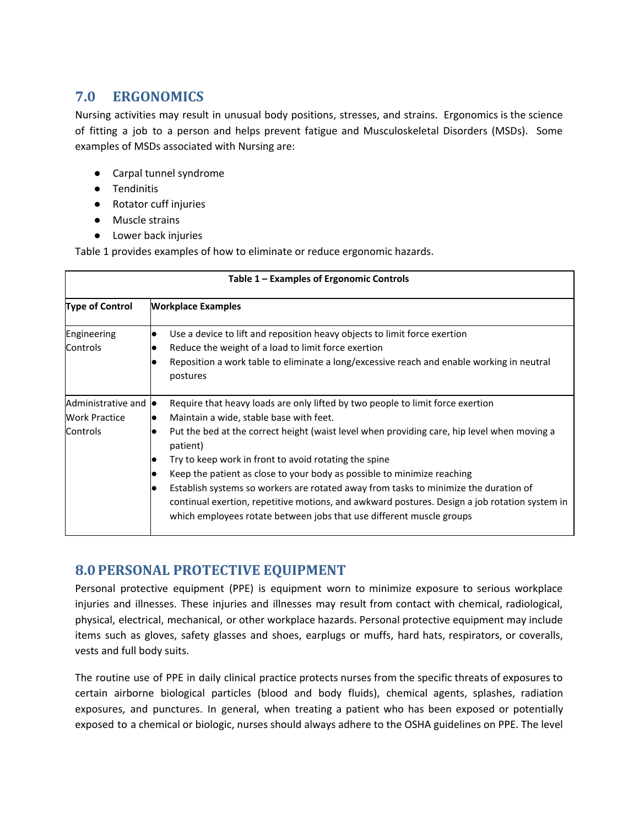# <span id="page-13-0"></span>**7.0 ERGONOMICS**

Nursing activities may result in unusual body positions, stresses, and strains. Ergonomics is the science of fitting a job to a person and helps prevent fatigue and Musculoskeletal Disorders (MSDs). Some examples of MSDs associated with Nursing are:

- Carpal tunnel syndrome
- Tendinitis
- Rotator cuff injuries
- Muscle strains
- Lower back injuries

Table 1 provides examples of how to eliminate or reduce ergonomic hazards.

| Table 1 – Examples of Ergonomic Controls                                |                                                                                                                                                                                                                                                                                                                                                                                                                                                                                                                                                                                                                                                                     |  |  |  |
|-------------------------------------------------------------------------|---------------------------------------------------------------------------------------------------------------------------------------------------------------------------------------------------------------------------------------------------------------------------------------------------------------------------------------------------------------------------------------------------------------------------------------------------------------------------------------------------------------------------------------------------------------------------------------------------------------------------------------------------------------------|--|--|--|
| <b>Type of Control</b>                                                  | <b>Workplace Examples</b>                                                                                                                                                                                                                                                                                                                                                                                                                                                                                                                                                                                                                                           |  |  |  |
| Engineering<br>Controls                                                 | Use a device to lift and reposition heavy objects to limit force exertion<br>Reduce the weight of a load to limit force exertion<br>Reposition a work table to eliminate a long/excessive reach and enable working in neutral<br>postures                                                                                                                                                                                                                                                                                                                                                                                                                           |  |  |  |
| Administrative and $\bullet$<br><b>Work Practice</b><br><b>Controls</b> | Require that heavy loads are only lifted by two people to limit force exertion<br>Maintain a wide, stable base with feet.<br>Put the bed at the correct height (waist level when providing care, hip level when moving a<br>patient)<br>Try to keep work in front to avoid rotating the spine<br>$\bullet$<br>Keep the patient as close to your body as possible to minimize reaching<br>Establish systems so workers are rotated away from tasks to minimize the duration of<br>$\bullet$<br>continual exertion, repetitive motions, and awkward postures. Design a job rotation system in<br>which employees rotate between jobs that use different muscle groups |  |  |  |

# <span id="page-13-1"></span>**8.0PERSONAL PROTECTIVE EQUIPMENT**

Personal protective equipment (PPE) is equipment worn to minimize exposure to serious workplace injuries and illnesses. These injuries and illnesses may result from contact with chemical, radiological, physical, electrical, mechanical, or other workplace hazards. Personal protective equipment may include items such as gloves, safety glasses and shoes, earplugs or muffs, hard hats, respirators, or coveralls, vests and full body suits.

The routine use of PPE in daily clinical practice protects nurses from the specific threats of exposures to certain airborne biological particles (blood and body fluids), chemical agents, splashes, radiation exposures, and punctures. In general, when treating a patient who has been exposed or potentially exposed to a chemical or biologic, nurses should always adhere to the OSHA guidelines on PPE. The level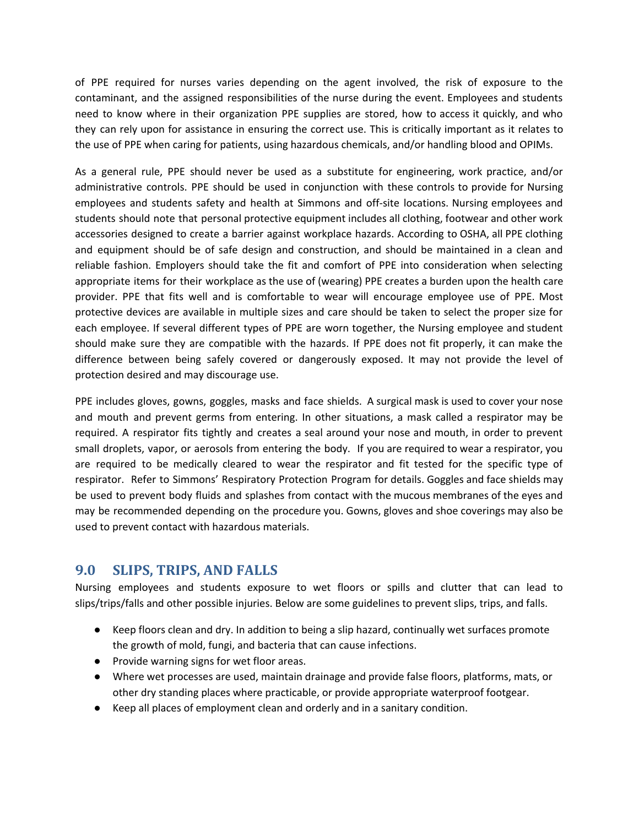of PPE required for nurses varies depending on the agent involved, the risk of exposure to the contaminant, and the assigned responsibilities of the nurse during the event. Employees and students need to know where in their organization PPE supplies are stored, how to access it quickly, and who they can rely upon for assistance in ensuring the correct use. This is critically important as it relates to the use of PPE when caring for patients, using hazardous chemicals, and/or handling blood and OPIMs.

As a general rule, PPE should never be used as a substitute for engineering, work practice, and/or administrative controls. PPE should be used in conjunction with these controls to provide for Nursing employees and students safety and health at Simmons and off-site locations. Nursing employees and students should note that personal protective equipment includes all clothing, footwear and other work accessories designed to create a barrier against workplace hazards. According to OSHA, all PPE clothing and equipment should be of safe design and construction, and should be maintained in a clean and reliable fashion. Employers should take the fit and comfort of PPE into consideration when selecting appropriate items for their workplace as the use of (wearing) PPE creates a burden upon the health care provider. PPE that fits well and is comfortable to wear will encourage employee use of PPE. Most protective devices are available in multiple sizes and care should be taken to select the proper size for each employee. If several different types of PPE are worn together, the Nursing employee and student should make sure they are compatible with the hazards. If PPE does not fit properly, it can make the difference between being safely covered or dangerously exposed. It may not provide the level of protection desired and may discourage use.

PPE includes gloves, gowns, goggles, masks and face shields. A surgical mask is used to cover your nose and mouth and prevent germs from entering. In other situations, a mask called a respirator may be required. A respirator fits tightly and creates a seal around your nose and mouth, in order to prevent small droplets, vapor, or aerosols from entering the body. If you are required to wear a respirator, you are required to be medically cleared to wear the respirator and fit tested for the specific type of respirator. Refer to Simmons' Respiratory Protection Program for details. Goggles and face shields may be used to prevent body fluids and splashes from contact with the mucous membranes of the eyes and may be recommended depending on the procedure you. Gowns, gloves and shoe coverings may also be used to prevent contact with hazardous materials.

### <span id="page-14-0"></span>**9.0 SLIPS, TRIPS, AND FALLS**

Nursing employees and students exposure to wet floors or spills and clutter that can lead to slips/trips/falls and other possible injuries. Below are some guidelines to prevent slips, trips, and falls.

- Keep floors clean and dry. In addition to being a slip hazard, continually wet surfaces promote the growth of mold, fungi, and bacteria that can cause infections.
- Provide warning signs for wet floor areas.
- Where wet processes are used, maintain drainage and provide false floors, platforms, mats, or other dry standing places where practicable, or provide appropriate waterproof footgear.
- Keep all places of employment clean and orderly and in a sanitary condition.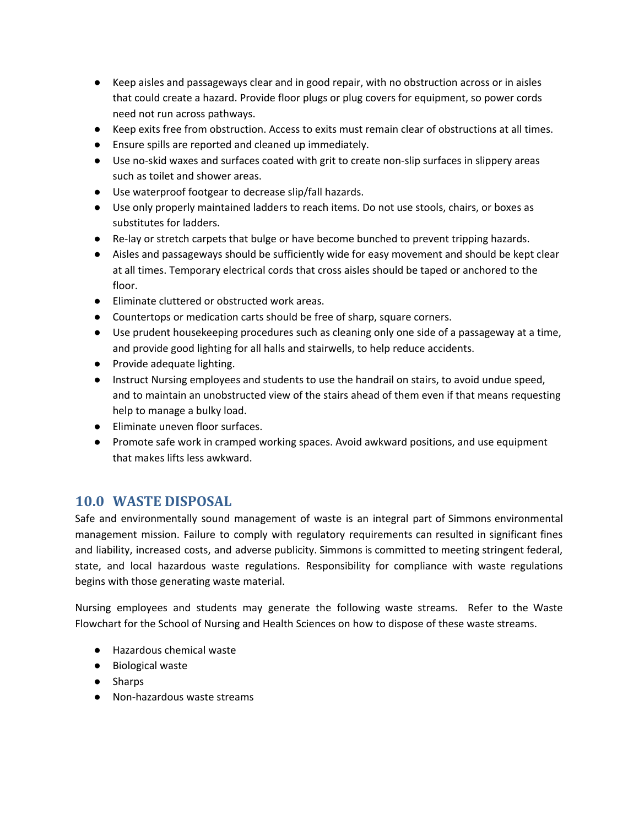- Keep aisles and passageways clear and in good repair, with no obstruction across or in aisles that could create a hazard. Provide floor plugs or plug covers for equipment, so power cords need not run across pathways.
- Keep exits free from obstruction. Access to exits must remain clear of obstructions at all times.
- Ensure spills are reported and cleaned up immediately.
- Use no-skid waxes and surfaces coated with grit to create non-slip surfaces in slippery areas such as toilet and shower areas.
- Use waterproof footgear to decrease slip/fall hazards.
- Use only properly maintained ladders to reach items. Do not use stools, chairs, or boxes as substitutes for ladders.
- Re-lay or stretch carpets that bulge or have become bunched to prevent tripping hazards.
- Aisles and passageways should be sufficiently wide for easy movement and should be kept clear at all times. Temporary electrical cords that cross aisles should be taped or anchored to the floor.
- Eliminate cluttered or obstructed work areas.
- Countertops or medication carts should be free of sharp, square corners.
- Use prudent housekeeping procedures such as cleaning only one side of a passageway at a time, and provide good lighting for all halls and stairwells, to help reduce accidents.
- Provide adequate lighting.
- Instruct Nursing employees and students to use the handrail on stairs, to avoid undue speed, and to maintain an unobstructed view of the stairs ahead of them even if that means requesting help to manage a bulky load.
- Eliminate uneven floor surfaces.
- Promote safe work in cramped working spaces. Avoid awkward positions, and use equipment that makes lifts less awkward.

### <span id="page-15-0"></span>**10.0 WASTE DISPOSAL**

Safe and environmentally sound management of waste is an integral part of Simmons environmental management mission. Failure to comply with regulatory requirements can resulted in significant fines and liability, increased costs, and adverse publicity. Simmons is committed to meeting stringent federal, state, and local hazardous waste regulations. Responsibility for compliance with waste regulations begins with those generating waste material.

Nursing employees and students may generate the following waste streams. Refer to the Waste Flowchart for the School of Nursing and Health Sciences on how to dispose of these waste streams.

- Hazardous chemical waste
- Biological waste
- Sharps
- Non-hazardous waste streams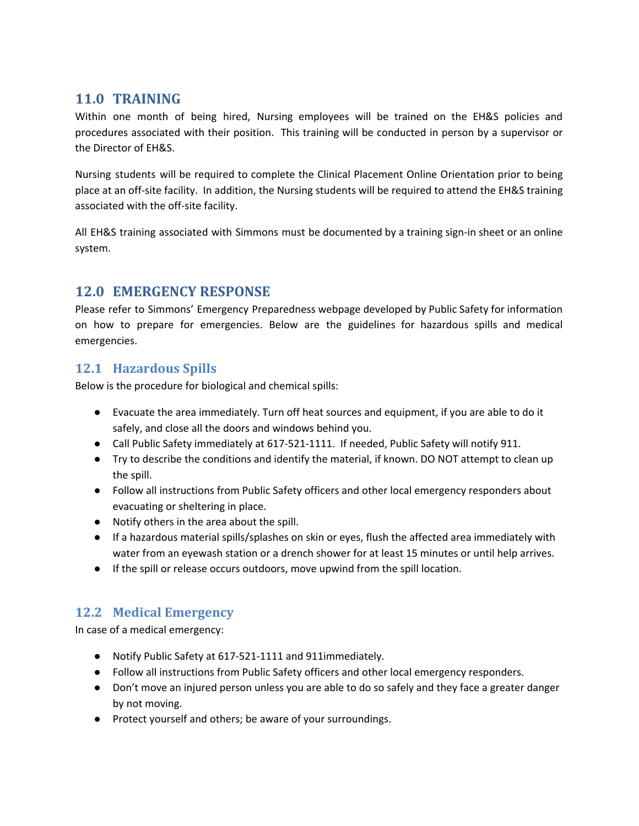# <span id="page-16-0"></span>**11.0 TRAINING**

Within one month of being hired, Nursing employees will be trained on the EH&S policies and procedures associated with their position. This training will be conducted in person by a supervisor or the Director of EH&S.

Nursing students will be required to complete the Clinical Placement Online Orientation prior to being place at an off-site facility. In addition, the Nursing students will be required to attend the EH&S training associated with the off-site facility.

All EH&S training associated with Simmons must be documented by a training sign-in sheet or an online system.

# <span id="page-16-1"></span>**12.0 EMERGENCY RESPONSE**

Please refer to Simmons' Emergency Preparedness webpage developed by Public Safety for information on how to prepare for emergencies. Below are the guidelines for hazardous spills and medical emergencies.

### <span id="page-16-2"></span>**12.1 Hazardous Spills**

Below is the procedure for biological and chemical spills:

- Evacuate the area immediately. Turn off heat sources and equipment, if you are able to do it safely, and close all the doors and windows behind you.
- Call Public Safety immediately at 617-521-1111. If needed, Public Safety will notify 911.
- Try to describe the conditions and identify the material, if known. DO NOT attempt to clean up the spill.
- Follow all instructions from Public Safety officers and other local emergency responders about evacuating or sheltering in place.
- Notify others in the area about the spill.
- If a hazardous material spills/splashes on skin or eyes, flush the affected area immediately with water from an eyewash station or a drench shower for at least 15 minutes or until help arrives.
- If the spill or release occurs outdoors, move upwind from the spill location.

### <span id="page-16-3"></span>**12.2 Medical Emergency**

In case of a medical emergency:

- Notify Public Safety at 617-521-1111 and 911immediately.
- Follow all instructions from Public Safety officers and other local emergency responders.
- Don't move an injured person unless you are able to do so safely and they face a greater danger by not moving.
- Protect yourself and others; be aware of your surroundings.